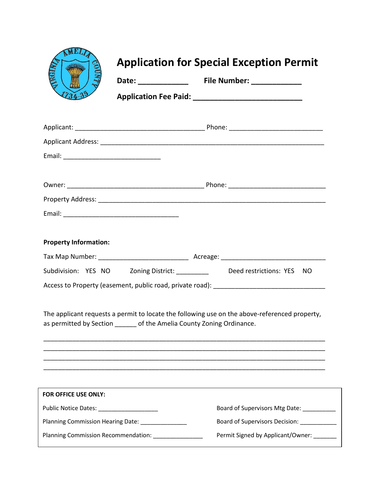|                                                                      |                                                                       | <b>Application for Special Exception Permit</b>                                               |
|----------------------------------------------------------------------|-----------------------------------------------------------------------|-----------------------------------------------------------------------------------------------|
|                                                                      |                                                                       |                                                                                               |
|                                                                      |                                                                       |                                                                                               |
|                                                                      |                                                                       |                                                                                               |
|                                                                      |                                                                       |                                                                                               |
|                                                                      |                                                                       |                                                                                               |
|                                                                      |                                                                       |                                                                                               |
|                                                                      |                                                                       |                                                                                               |
| <b>Property Information:</b>                                         |                                                                       |                                                                                               |
|                                                                      |                                                                       | Subdivision: YES NO Zoning District: _________ Deed restrictions: YES NO                      |
|                                                                      |                                                                       |                                                                                               |
|                                                                      | as permitted by Section ______ of the Amelia County Zoning Ordinance. | The applicant requests a permit to locate the following use on the above-referenced property, |
|                                                                      |                                                                       |                                                                                               |
|                                                                      |                                                                       |                                                                                               |
| FOR OFFICE USE ONLY:<br>Public Notice Dates: _______________________ |                                                                       | Board of Supervisors Mtg Date: __________                                                     |

| Planning Commission Recommendation: | Permit Signed by Applicant/Owner: |
|-------------------------------------|-----------------------------------|
|                                     |                                   |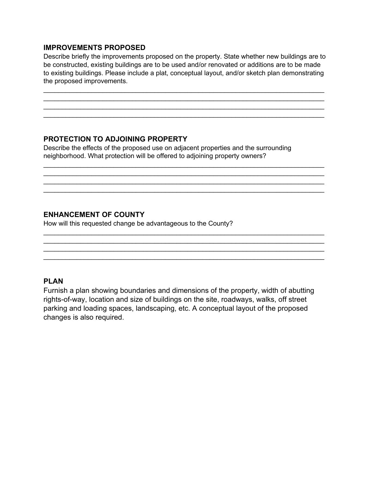## **IMPROVEMENTS PROPOSED**

Describe briefly the improvements proposed on the property. State whether new buildings are to be constructed, existing buildings are to be used and/or renovated or additions are to be made to existing buildings. Please include a plat, conceptual layout, and/or sketch plan demonstrating the proposed improvements.

\_\_\_\_\_\_\_\_\_\_\_\_\_\_\_\_\_\_\_\_\_\_\_\_\_\_\_\_\_\_\_\_\_\_\_\_\_\_\_\_\_\_\_\_\_\_\_\_\_\_\_\_\_\_\_\_\_\_\_\_\_\_\_\_\_\_\_\_\_\_\_\_\_\_\_\_  $\mathcal{L}_\text{max}$  , and the contribution of the contribution of the contribution of the contribution of the contribution of the contribution of the contribution of the contribution of the contribution of the contribution of t

\_\_\_\_\_\_\_\_\_\_\_\_\_\_\_\_\_\_\_\_\_\_\_\_\_\_\_\_\_\_\_\_\_\_\_\_\_\_\_\_\_\_\_\_\_\_\_\_\_\_\_\_\_\_\_\_\_\_\_\_\_\_\_\_\_\_\_\_\_\_\_\_\_\_\_\_

 $\mathcal{L}_\text{max}$  , and the contribution of the contribution of the contribution of the contribution of the contribution of the contribution of the contribution of the contribution of the contribution of the contribution of t  $\mathcal{L}_\text{max}$  , and the set of the set of the set of the set of the set of the set of the set of the set of the set of the set of the set of the set of the set of the set of the set of the set of the set of the set of the

\_\_\_\_\_\_\_\_\_\_\_\_\_\_\_\_\_\_\_\_\_\_\_\_\_\_\_\_\_\_\_\_\_\_\_\_\_\_\_\_\_\_\_\_\_\_\_\_\_\_\_\_\_\_\_\_\_\_\_\_\_\_\_\_\_\_\_\_\_\_\_\_\_\_\_\_

 $\mathcal{L}_\text{max}$  , and the contribution of the contribution of the contribution of the contribution of the contribution of the contribution of the contribution of the contribution of the contribution of the contribution of t \_\_\_\_\_\_\_\_\_\_\_\_\_\_\_\_\_\_\_\_\_\_\_\_\_\_\_\_\_\_\_\_\_\_\_\_\_\_\_\_\_\_\_\_\_\_\_\_\_\_\_\_\_\_\_\_\_\_\_\_\_\_\_\_\_\_\_\_\_\_\_\_\_\_\_\_

 $\frac{1}{2}$  ,  $\frac{1}{2}$  ,  $\frac{1}{2}$  ,  $\frac{1}{2}$  ,  $\frac{1}{2}$  ,  $\frac{1}{2}$  ,  $\frac{1}{2}$  ,  $\frac{1}{2}$  ,  $\frac{1}{2}$  ,  $\frac{1}{2}$  ,  $\frac{1}{2}$  ,  $\frac{1}{2}$  ,  $\frac{1}{2}$  ,  $\frac{1}{2}$  ,  $\frac{1}{2}$  ,  $\frac{1}{2}$  ,  $\frac{1}{2}$  ,  $\frac{1}{2}$  ,  $\frac{1$ 

# **PROTECTION TO ADJOINING PROPERTY**

Describe the effects of the proposed use on adjacent properties and the surrounding neighborhood. What protection will be offered to adjoining property owners?

# **ENHANCEMENT OF COUNTY**

How will this requested change be advantageous to the County?

## **PLAN**

Furnish a plan showing boundaries and dimensions of the property, width of abutting rights-of-way, location and size of buildings on the site, roadways, walks, off street parking and loading spaces, landscaping, etc. A conceptual layout of the proposed changes is also required.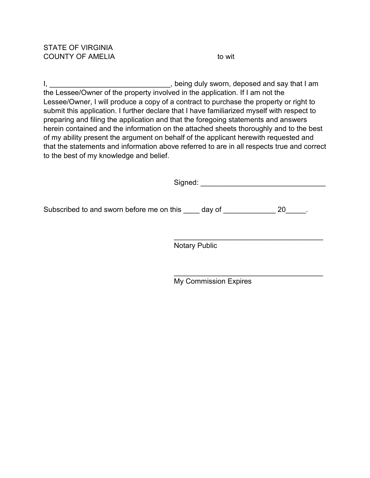I, \_\_\_\_\_\_\_\_\_\_\_\_\_\_\_\_\_\_\_\_\_\_\_\_\_\_\_\_, being duly sworn, deposed and say that I am the Lessee/Owner of the property involved in the application. If I am not the Lessee/Owner, I will produce a copy of a contract to purchase the property or right to submit this application. I further declare that I have familiarized myself with respect to preparing and filing the application and that the foregoing statements and answers herein contained and the information on the attached sheets thoroughly and to the best of my ability present the argument on behalf of the applicant herewith requested and that the statements and information above referred to are in all respects true and correct to the best of my knowledge and belief.

|                                                                                     | Signed:                      |
|-------------------------------------------------------------------------------------|------------------------------|
| Subscribed to and sworn before me on this subscribed to and sworn before me on this | 20                           |
|                                                                                     | <b>Notary Public</b>         |
|                                                                                     | <b>My Commission Expires</b> |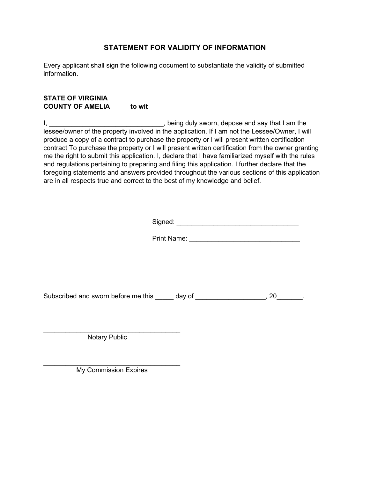## **STATEMENT FOR VALIDITY OF INFORMATION**

Every applicant shall sign the following document to substantiate the validity of submitted information.

### **STATE OF VIRGINIA COUNTY OF AMELIA to wit**

I, Let the state of the state of the state of the state of the state of the state of the state of the state of the state of the state of the state of the state of the state of the state of the state of the state of the sta lessee/owner of the property involved in the application. If I am not the Lessee/Owner, I will produce a copy of a contract to purchase the property or I will present written certification contract To purchase the property or I will present written certification from the owner granting me the right to submit this application. I, declare that I have familiarized myself with the rules and regulations pertaining to preparing and filing this application. I further declare that the foregoing statements and answers provided throughout the various sections of this application are in all respects true and correct to the best of my knowledge and belief.

Signed: \_\_\_\_\_\_\_\_\_\_\_\_\_\_\_\_\_\_\_\_\_\_\_\_\_\_\_\_\_\_\_\_\_

Print Name: **Example 20** 

Subscribed and sworn before me this day of the state of the state of the state of the state of the state of the state of the state of the state of the state of the state of the state of the state of the state of the state

Notary Public

 $\mathcal{L}_\text{max}$  , where  $\mathcal{L}_\text{max}$  and  $\mathcal{L}_\text{max}$  and  $\mathcal{L}_\text{max}$ 

\_\_\_\_\_\_\_\_\_\_\_\_\_\_\_\_\_\_\_\_\_\_\_\_\_\_\_\_\_\_\_\_\_\_\_\_\_ My Commission Expires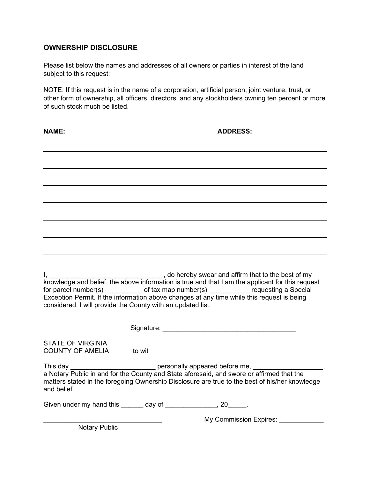## **OWNERSHIP DISCLOSURE**

Please list below the names and addresses of all owners or parties in interest of the land subject to this request:

NOTE: If this request is in the name of a corporation, artificial person, joint venture, trust, or other form of ownership, all officers, directors, and any stockholders owning ten percent or more of such stock much be listed.

**NAME:** ADDRESS:

I, \_\_\_\_\_\_\_\_\_\_\_\_\_\_\_\_\_\_\_\_\_\_\_\_\_\_\_\_\_\_\_, do hereby swear and affirm that to the best of my knowledge and belief, the above information is true and that I am the applicant for this request for parcel number(s) \_\_\_\_\_\_\_\_\_\_ of tax map number(s) \_\_\_\_\_\_\_\_\_\_\_ requesting a Special Exception Permit. If the information above changes at any time while this request is being considered, I will provide the County with an updated list.

Signature:  $\Box$ 

STATE OF VIRGINIA COUNTY OF AMELIA to wit

This day \_\_\_\_\_\_\_\_\_\_\_\_\_\_\_\_\_\_\_\_\_\_\_\_\_\_\_\_\_\_\_\_\_\_ personally appeared before me, \_\_\_\_\_\_\_

a Notary Public in and for the County and State aforesaid, and swore or affirmed that the matters stated in the foregoing Ownership Disclosure are true to the best of his/her knowledge and belief.

Given under my hand this \_\_\_\_\_\_ day of \_\_\_\_\_\_\_\_\_\_\_\_\_, 20\_\_\_\_\_.

My Commission Expires:

Notary Public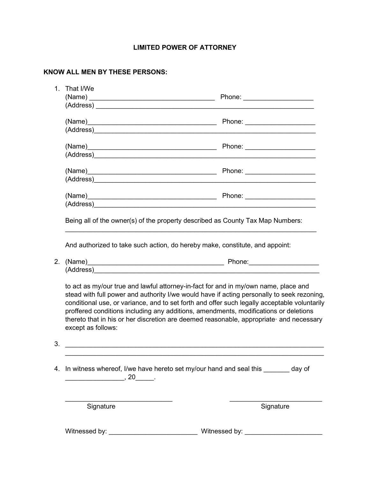## **LIMITED POWER OF ATTORNEY**

# **KNOW ALL MEN BY THESE PERSONS:**

| 1. | That I/We                                                                                                                                                                                                                     |                                                                                                                                                                                                                                                                                                                                                                                                                                                                     |
|----|-------------------------------------------------------------------------------------------------------------------------------------------------------------------------------------------------------------------------------|---------------------------------------------------------------------------------------------------------------------------------------------------------------------------------------------------------------------------------------------------------------------------------------------------------------------------------------------------------------------------------------------------------------------------------------------------------------------|
|    |                                                                                                                                                                                                                               |                                                                                                                                                                                                                                                                                                                                                                                                                                                                     |
|    | (Address)                                                                                                                                                                                                                     |                                                                                                                                                                                                                                                                                                                                                                                                                                                                     |
|    |                                                                                                                                                                                                                               |                                                                                                                                                                                                                                                                                                                                                                                                                                                                     |
|    | (Address) and the contract of the contract of the contract of the contract of the contract of the contract of the contract of the contract of the contract of the contract of the contract of the contract of the contract of |                                                                                                                                                                                                                                                                                                                                                                                                                                                                     |
|    |                                                                                                                                                                                                                               |                                                                                                                                                                                                                                                                                                                                                                                                                                                                     |
|    |                                                                                                                                                                                                                               | (Address) and the contract of the contract of the contract of the contract of the contract of the contract of the contract of the contract of the contract of the contract of the contract of the contract of the contract of                                                                                                                                                                                                                                       |
|    |                                                                                                                                                                                                                               |                                                                                                                                                                                                                                                                                                                                                                                                                                                                     |
|    |                                                                                                                                                                                                                               |                                                                                                                                                                                                                                                                                                                                                                                                                                                                     |
|    |                                                                                                                                                                                                                               |                                                                                                                                                                                                                                                                                                                                                                                                                                                                     |
|    |                                                                                                                                                                                                                               |                                                                                                                                                                                                                                                                                                                                                                                                                                                                     |
|    |                                                                                                                                                                                                                               | Phone: _____________________                                                                                                                                                                                                                                                                                                                                                                                                                                        |
|    |                                                                                                                                                                                                                               |                                                                                                                                                                                                                                                                                                                                                                                                                                                                     |
|    |                                                                                                                                                                                                                               | Being all of the owner(s) of the property described as County Tax Map Numbers:                                                                                                                                                                                                                                                                                                                                                                                      |
|    |                                                                                                                                                                                                                               |                                                                                                                                                                                                                                                                                                                                                                                                                                                                     |
|    |                                                                                                                                                                                                                               | And authorized to take such action, do hereby make, constitute, and appoint:                                                                                                                                                                                                                                                                                                                                                                                        |
| 2. |                                                                                                                                                                                                                               |                                                                                                                                                                                                                                                                                                                                                                                                                                                                     |
|    |                                                                                                                                                                                                                               |                                                                                                                                                                                                                                                                                                                                                                                                                                                                     |
|    | except as follows:                                                                                                                                                                                                            | to act as my/our true and lawful attorney-in-fact for and in my/own name, place and<br>stead with full power and authority I/we would have if acting personally to seek rezoning,<br>conditional use, or variance, and to set forth and offer such legally acceptable voluntarily<br>proffered conditions including any additions, amendments, modifications or deletions<br>thereto that in his or her discretion are deemed reasonable, appropriate and necessary |
| 3. |                                                                                                                                                                                                                               |                                                                                                                                                                                                                                                                                                                                                                                                                                                                     |
|    |                                                                                                                                                                                                                               |                                                                                                                                                                                                                                                                                                                                                                                                                                                                     |
| 4. | $\sim$ , 20 $\sim$ .                                                                                                                                                                                                          | In witness whereof, I/we have hereto set my/our hand and seal this _______ day of                                                                                                                                                                                                                                                                                                                                                                                   |
|    | Signature                                                                                                                                                                                                                     | Signature                                                                                                                                                                                                                                                                                                                                                                                                                                                           |
|    | Witnessed by:                                                                                                                                                                                                                 | Witnessed by:                                                                                                                                                                                                                                                                                                                                                                                                                                                       |